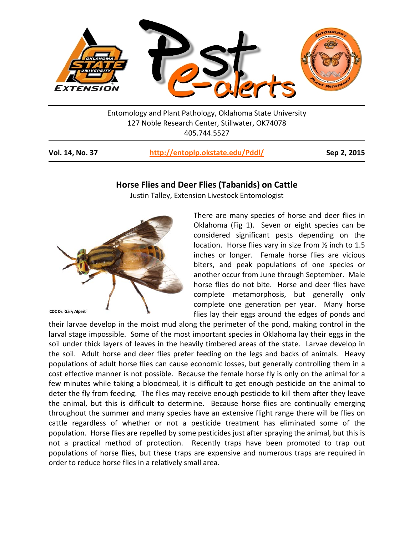

Entomology and Plant Pathology, Oklahoma State University 127 Noble Research Center, Stillwater, OK74078 405.744.5527

**Vol. 14, No. 37 <http://entoplp.okstate.edu/Pddl/> Sep 2, 2015**

## **Horse Flies and Deer Flies (Tabanids) on Cattle**

Justin Talley, Extension Livestock Entomologist



There are many species of horse and deer flies in Oklahoma (Fig 1). Seven or eight species can be considered significant pests depending on the location. Horse flies vary in size from ½ inch to 1.5 inches or longer. Female horse flies are vicious biters, and peak populations of one species or another occur from June through September. Male horse flies do not bite. Horse and deer flies have complete metamorphosis, but generally only complete one generation per year. Many horse flies lay their eggs around the edges of ponds and

their larvae develop in the moist mud along the perimeter of the pond, making control in the larval stage impossible. Some of the most important species in Oklahoma lay their eggs in the soil under thick layers of leaves in the heavily timbered areas of the state. Larvae develop in the soil. Adult horse and deer flies prefer feeding on the legs and backs of animals. Heavy populations of adult horse flies can cause economic losses, but generally controlling them in a cost effective manner is not possible. Because the female horse fly is only on the animal for a few minutes while taking a bloodmeal, it is difficult to get enough pesticide on the animal to deter the fly from feeding. The flies may receive enough pesticide to kill them after they leave the animal, but this is difficult to determine. Because horse flies are continually emerging throughout the summer and many species have an extensive flight range there will be flies on cattle regardless of whether or not a pesticide treatment has eliminated some of the population. Horse flies are repelled by some pesticides just after spraying the animal, but this is not a practical method of protection. Recently traps have been promoted to trap out populations of horse flies, but these traps are expensive and numerous traps are required in order to reduce horse flies in a relatively small area.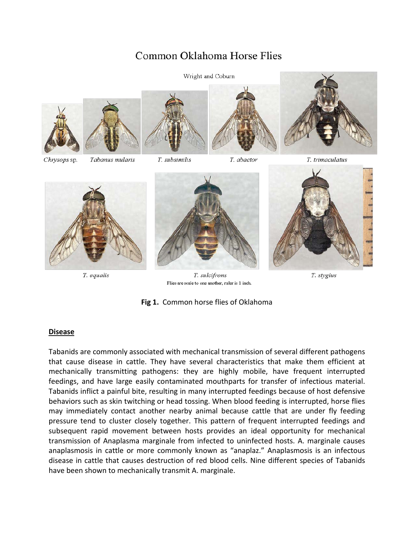# Common Oklahoma Horse Flies





T. equalis



T. sulcifrons Flies are scale to one another, ruler is 1 inch.



T. stygius

**Fig 1.** Common horse flies of Oklahoma

## **Disease**

Tabanids are commonly associated with mechanical transmission of several different pathogens that cause disease in cattle. They have several characteristics that make them efficient at mechanically transmitting pathogens: they are highly mobile, have frequent interrupted feedings, and have large easily contaminated mouthparts for transfer of infectious material. Tabanids inflict a painful bite, resulting in many interrupted feedings because of host defensive behaviors such as skin twitching or head tossing. When blood feeding is interrupted, horse flies may immediately contact another nearby animal because cattle that are under fly feeding pressure tend to cluster closely together. This pattern of frequent interrupted feedings and subsequent rapid movement between hosts provides an ideal opportunity for mechanical transmission of Anaplasma marginale from infected to uninfected hosts. A. marginale causes anaplasmosis in cattle or more commonly known as "anaplaz." Anaplasmosis is an infectous disease in cattle that causes destruction of red blood cells. Nine different species of Tabanids have been shown to mechanically transmit A. marginale.